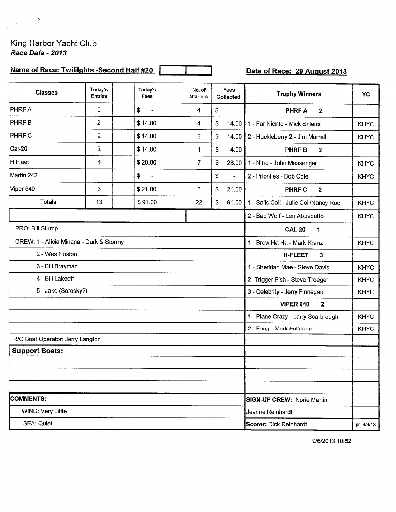## King Harbor Yacht Club Race Data - 2013

 $\label{eq:2.1} \frac{1}{2} \sum_{i=1}^n \frac{1}{2} \sum_{j=1}^n \frac{1}{2} \sum_{j=1}^n \frac{1}{2} \sum_{j=1}^n \frac{1}{2} \sum_{j=1}^n \frac{1}{2} \sum_{j=1}^n \frac{1}{2} \sum_{j=1}^n \frac{1}{2} \sum_{j=1}^n \frac{1}{2} \sum_{j=1}^n \frac{1}{2} \sum_{j=1}^n \frac{1}{2} \sum_{j=1}^n \frac{1}{2} \sum_{j=1}^n \frac{1}{2} \sum_{j=1}^n \frac{$ 

## Name of Race: Twililghts -Second Half #20

Date of Race: 29 August 2013

| <b>Classes</b>                          | Today's<br><b>Entries</b> | Today's<br>Fees                             | No. of<br><b>Starters</b> | Fees<br>Collected |                                 | <b>Trophy Winners</b>                 | YC          |
|-----------------------------------------|---------------------------|---------------------------------------------|---------------------------|-------------------|---------------------------------|---------------------------------------|-------------|
| <b>PHRFA</b>                            | 0                         | \$<br>$\overline{a}$                        | 4                         | \$                | $\qquad \qquad -$               | <b>PHRFA</b><br>$\overline{2}$        |             |
| <b>PHRFB</b>                            | $\overline{2}$            | \$14.00                                     | 4                         | \$                | 14.00                           | 1 - Far Niente - Mick Shlens          | <b>KHYC</b> |
| <b>PHRF C</b>                           | \$14.00                   | 3                                           | \$                        | 14.00             | 2 - Huckleberry 2 - Jim Murrell | <b>KHYC</b>                           |             |
| $CaI-20$                                | $\overline{2}$            | \$14.00                                     | 1                         | \$                | 14.00                           | <b>PHRF B</b><br>$\boldsymbol{2}$     |             |
| H Fleet                                 | 4                         | \$28.00                                     | $\overline{7}$            | \$                | 28.00                           | 1 - Nitro - John Messenger            | <b>KHYC</b> |
| Martin 242                              |                           | \$<br>$\blacksquare$                        |                           | \$                | $\overline{a}$                  | 2 - Priorities - Bob Cole             | <b>KHYC</b> |
| Viper 640                               | 3                         | \$21.00                                     | 3                         | \$                | 21.00                           | <b>PHRF C</b><br>$\mathbf{2}$         |             |
| Totals                                  | 13                        | \$91.00                                     | 22                        | \$                | 91.00                           | 1 - Sails Coll - Julie Coll/Nancy Roe | <b>KHYC</b> |
|                                         |                           |                                             |                           |                   |                                 | 2 - Bad Wolf - Len Abbedutto          | <b>KHYC</b> |
| PRO: Bill Stump                         |                           | <b>CAL-20</b><br>1                          |                           |                   |                                 |                                       |             |
| CREW: 1 - Alicia Minana - Dark & Stormy |                           | 1 - Brew Ha Ha - Mark Kranz                 | <b>KHYC</b>               |                   |                                 |                                       |             |
| 2 - Wes Huston                          |                           | <b>H-FLEET</b><br>3                         |                           |                   |                                 |                                       |             |
| 3 - Bill Brayman                        |                           | 1 - Sheridan Mae - Steve Davis              | <b>KHYC</b>               |                   |                                 |                                       |             |
| 4 - Bill Lakeoff                        |                           |                                             |                           |                   |                                 | 2-Trigger Fish - Steve Troeger        | <b>KHYC</b> |
| 5 - Jake (Sorosky?)                     |                           |                                             |                           |                   |                                 | 3 - Celebrity - Jerry Finnegan        | <b>KHYC</b> |
|                                         |                           |                                             |                           |                   |                                 | <b>VIPER 640</b><br>$\mathbf{2}$      |             |
|                                         |                           |                                             |                           |                   |                                 | 1 - Plane Crazy - Larry Scarbrough    | <b>KHYC</b> |
|                                         |                           | 2 - Fang - Mark Folkman                     | <b>KHYC</b>               |                   |                                 |                                       |             |
| R/C Boat Operator: Jerry Langton        |                           |                                             |                           |                   |                                 |                                       |             |
| <b>Support Boats:</b>                   |                           |                                             |                           |                   |                                 |                                       |             |
|                                         |                           |                                             |                           |                   |                                 |                                       |             |
|                                         |                           |                                             |                           |                   |                                 |                                       |             |
|                                         |                           |                                             |                           |                   |                                 |                                       |             |
| <b>COMMENTS:</b>                        |                           | <b>SIGN-UP CREW: Norie Martin</b>           |                           |                   |                                 |                                       |             |
| WIND: Very Little                       |                           | Jeanne Reinhardt                            |                           |                   |                                 |                                       |             |
| <b>SEA: Quiet</b>                       |                           | <b>Scorer: Dick Reinhardt</b><br>ilr 4/6/13 |                           |                   |                                 |                                       |             |

9/6/2013 10:52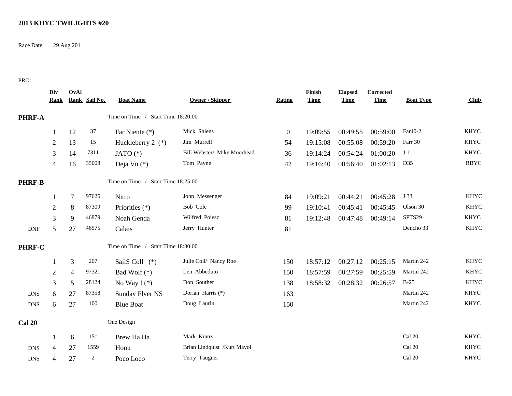## **2013 KHYC TWILIGHTS #20**

Race Date: 29 Aug 201

PRO:

|               | Div<br><b>Rank</b> | OvAl           | Rank Sail No.  | <b>Boat Name</b>                   | <b>Owner / Skipper</b>      | <b>Rating</b>    | Finish<br><b>Time</b> | <b>Elapsed</b><br><b>Time</b> | Corrected<br><b>Time</b> | <b>Boat Type</b> | Club        |
|---------------|--------------------|----------------|----------------|------------------------------------|-----------------------------|------------------|-----------------------|-------------------------------|--------------------------|------------------|-------------|
| <b>PHRF-A</b> |                    |                |                | Time on Time / Start Time 18:20:00 |                             |                  |                       |                               |                          |                  |             |
|               | 1                  | 12             | 37             | Far Niente (*)                     | Mick Shlens                 | $\boldsymbol{0}$ | 19:09:55              | 00:49:55                      | 00:59:00                 | Far40-2          | <b>KHYC</b> |
|               | $\overline{2}$     | 13             | 15             | Huckleberry $2$ (*)                | Jim Murrell                 | 54               | 19:15:08              | 00:55:08                      | 00:59:20                 | Farr 30          | <b>KHYC</b> |
|               | 3                  | 14             | 7311           | JATO $(*)$                         | Bill Webster/ Mike Moorhead | 36               | 19:14:24              | 00:54:24                      | 01:00:20                 | J 111            | <b>KHYC</b> |
|               | $\overline{4}$     | 16             | 35008          | Deja Vu (*)                        | Tom Payne                   | 42               | 19:16:40              | 00:56:40                      | 01:02:13                 | D35              | <b>RBYC</b> |
| <b>PHRF-B</b> |                    |                |                | Time on Time / Start Time 18:25:00 |                             |                  |                       |                               |                          |                  |             |
|               | 1                  | 7              | 97626          | Nitro                              | John Messenger              | 84               | 19:09:21              | 00:44:21                      | 00:45:28                 | J 33             | <b>KHYC</b> |
|               | $\overline{2}$     | 8              | 87309          | Priorities (*)                     | Bob Cole                    | 99               | 19:10:41              | 00:45:41                      | 00:45:45                 | Olson 30         | <b>KHYC</b> |
|               | 3                  | 9              | 46879          | Noah Genda                         | Wilfred Poiesz              | 81               | 19:12:48              | 00:47:48                      | 00:49:14                 | SPTS29           | <b>KHYC</b> |
| <b>DNF</b>    | 5                  | $27\,$         | 46575          | Calais                             | Jerry Hunter                | 81               |                       |                               |                          | Dencho 33        | <b>KHYC</b> |
| PHRF-C        |                    |                |                | Time on Time / Start Time 18:30:00 |                             |                  |                       |                               |                          |                  |             |
|               |                    | 3              | 207            | SailS Coll (*)                     | Julie Coll/ Nancy Roe       | 150              | 18:57:12              | 00:27:12                      | 00:25:15                 | Martin 242       | <b>KHYC</b> |
|               | $\mathbf{2}$       | $\overline{4}$ | 97321          | Bad Wolf (*)                       | Len Abbeduto                | 150              | 18:57:59              | 00:27:59                      | 00:25:59                 | Martin 242       | <b>KHYC</b> |
|               | 3                  | 5              | 28124          | No Way $! (*)$                     | Don Souther                 | 138              | 18:58:32              | 00:28:32                      | 00:26:57                 | $B-25$           | <b>KHYC</b> |
| <b>DNS</b>    | 6                  | 27             | 87358          | Sunday Flyer NS                    | Dorian Harris (*)           | 163              |                       |                               |                          | Martin 242       | <b>KHYC</b> |
| <b>DNS</b>    | 6                  | $27\,$         | 100            | <b>Blue Boat</b>                   | Doug Laurin                 | 150              |                       |                               |                          | Martin 242       | <b>KHYC</b> |
| <b>Cal 20</b> |                    |                |                | One Design                         |                             |                  |                       |                               |                          |                  |             |
|               | 1                  | 6              | 15c            | Brew Ha Ha                         | Mark Kranz                  |                  |                       |                               |                          | Cal 20           | <b>KHYC</b> |
| <b>DNS</b>    | $\overline{4}$     | 27             | 1559           | Honu                               | Brian Lindquist /Kurt Mayol |                  |                       |                               |                          | Cal 20           | <b>KHYC</b> |
| <b>DNS</b>    | 4                  | 27             | $\overline{2}$ | Poco Loco                          | Terry Taugner               |                  |                       |                               |                          | Cal 20           | <b>KHYC</b> |